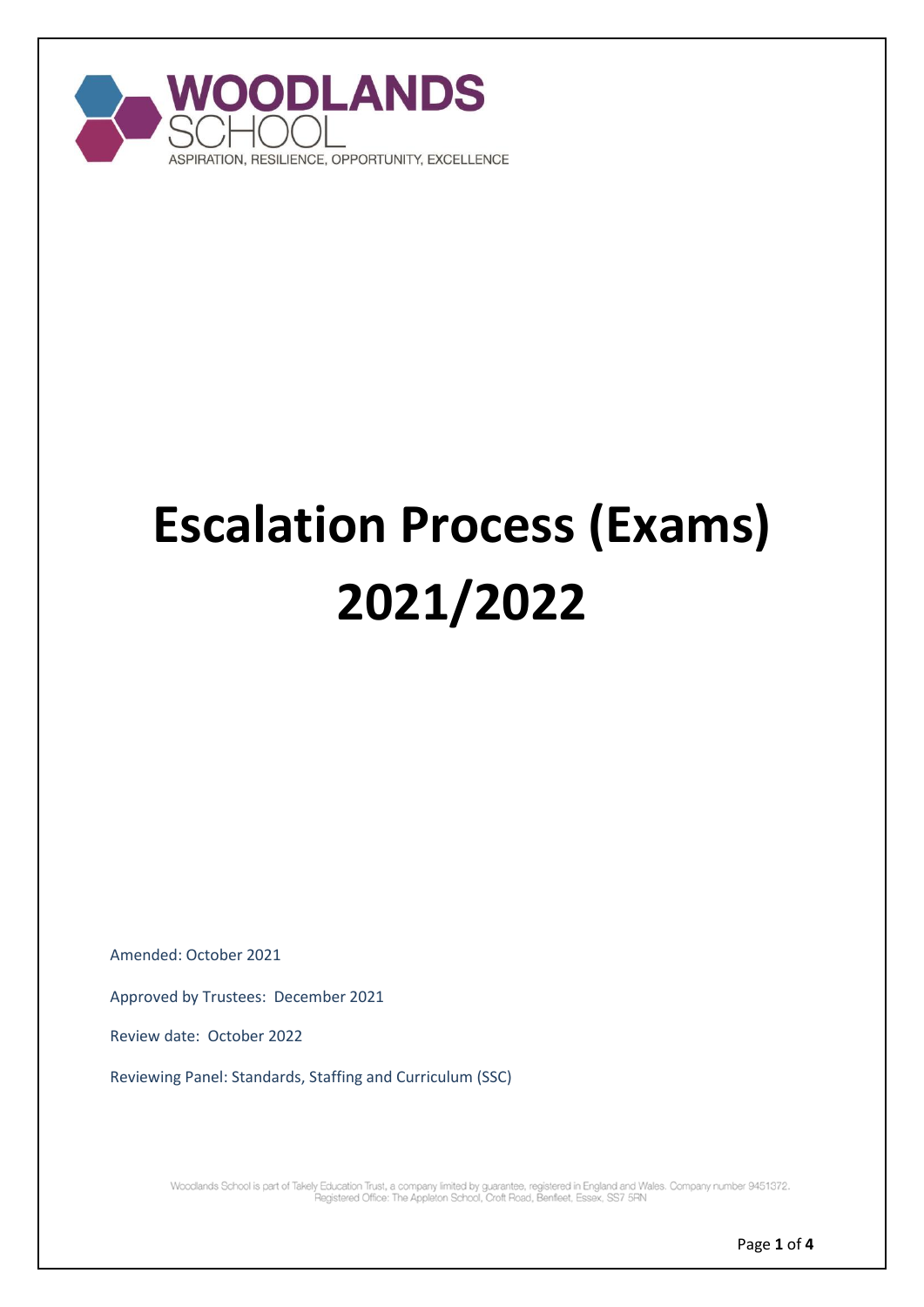

# **Escalation Process (Exams) 2021/2022**

Amended: October 2021

Approved by Trustees: December 2021

Review date: October 2022

Reviewing Panel: Standards, Staffing and Curriculum (SSC)

Woodlands School is part of Takely Education Trust, a company limited by guarantee, registered in England and Wales. Company number 9451372.<br>Pegistered Office: The Appleton School, Croft Road, Benfleet, Essex, SS7 5RN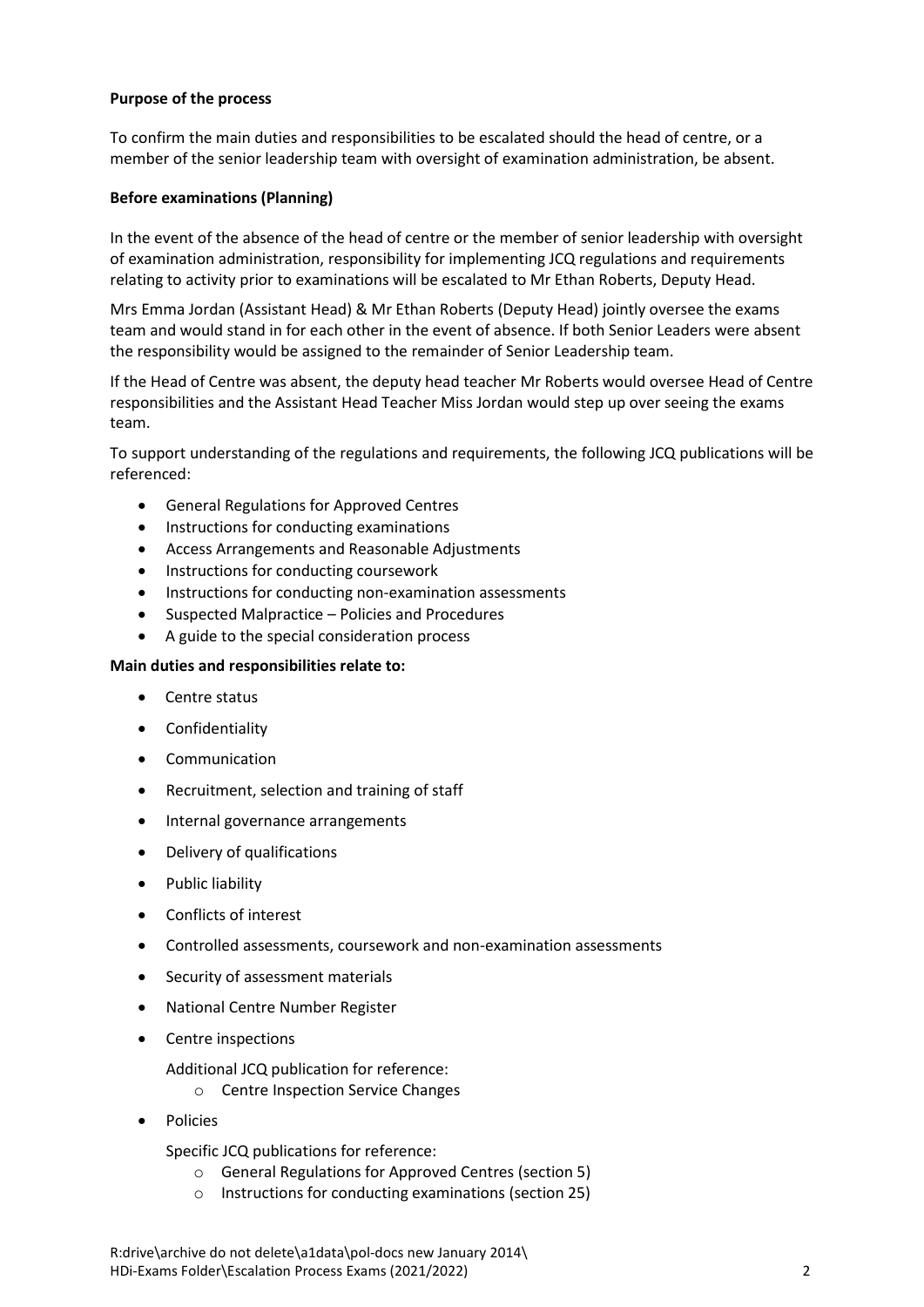#### **Purpose of the process**

To confirm the main duties and responsibilities to be escalated should the head of centre, or a member of the senior leadership team with oversight of examination administration, be absent.

#### **Before examinations (Planning)**

In the event of the absence of the head of centre or the member of senior leadership with oversight of examination administration, responsibility for implementing JCQ regulations and requirements relating to activity prior to examinations will be escalated to Mr Ethan Roberts, Deputy Head.

Mrs Emma Jordan (Assistant Head) & Mr Ethan Roberts (Deputy Head) jointly oversee the exams team and would stand in for each other in the event of absence. If both Senior Leaders were absent the responsibility would be assigned to the remainder of Senior Leadership team.

If the Head of Centre was absent, the deputy head teacher Mr Roberts would oversee Head of Centre responsibilities and the Assistant Head Teacher Miss Jordan would step up over seeing the exams team.

To support understanding of the regulations and requirements, the following JCQ publications will be referenced:

- General Regulations for Approved Centres
- Instructions for conducting examinations
- Access Arrangements and Reasonable Adjustments
- Instructions for conducting coursework
- Instructions for conducting non-examination assessments
- Suspected Malpractice Policies and Procedures
- A guide to the special consideration process

## **Main duties and responsibilities relate to:**

- Centre status
- Confidentiality
- Communication
- Recruitment, selection and training of staff
- Internal governance arrangements
- Delivery of qualifications
- Public liability
- Conflicts of interest
- Controlled assessments, coursework and non-examination assessments
- Security of assessment materials
- National Centre Number Register
- Centre inspections
	- Additional JCQ publication for reference:
		- o Centre Inspection Service Changes
- Policies

Specific JCQ publications for reference:

- o General Regulations for Approved Centres (section 5)
- o Instructions for conducting examinations (section 25)

R:drive\archive do not delete\a1data\pol-docs new January 2014\ HDi-Exams Folder\Escalation Process Exams (2021/2022) 2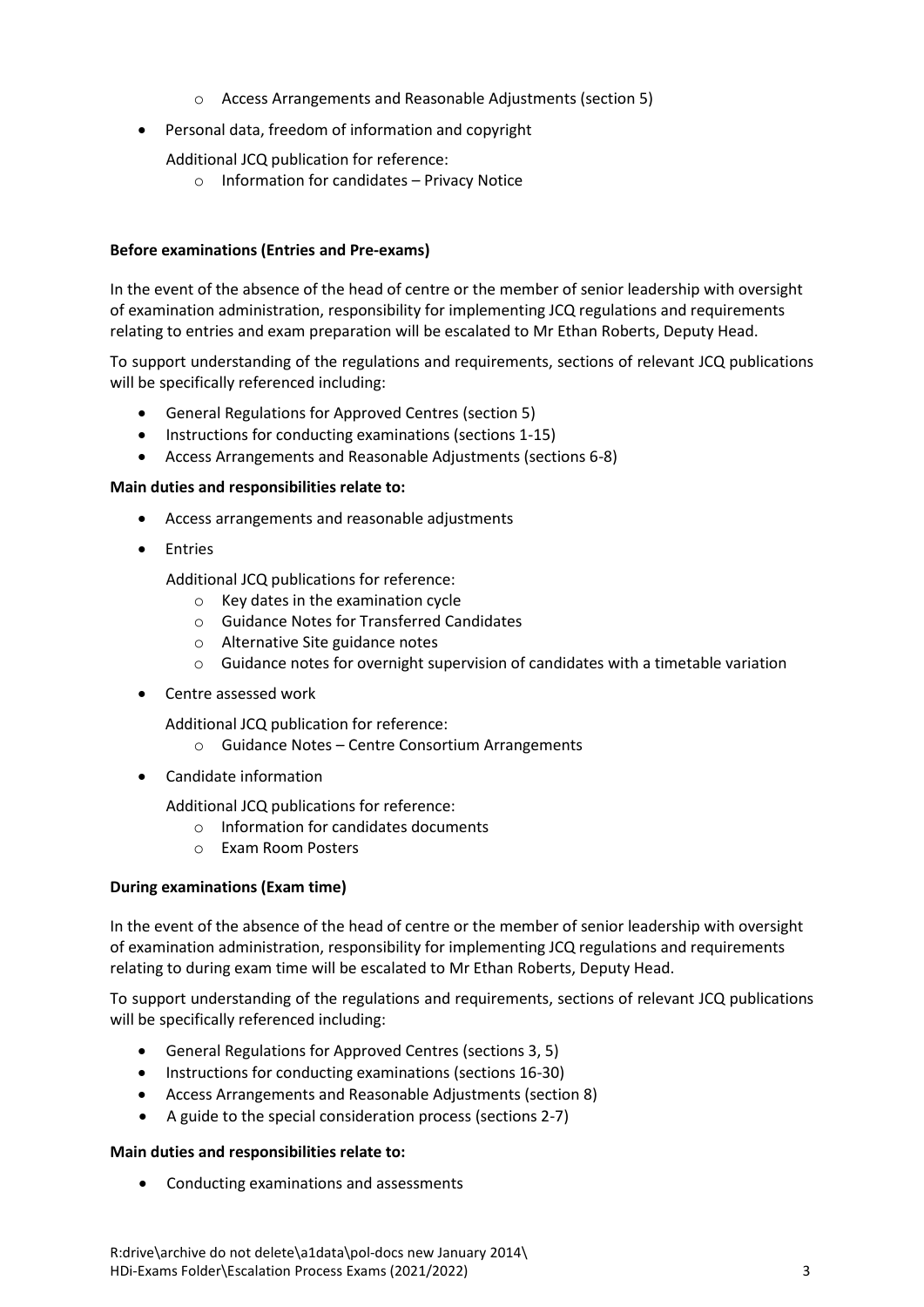- o Access Arrangements and Reasonable Adjustments (section 5)
- Personal data, freedom of information and copyright
	- Additional JCQ publication for reference:
		- o Information for candidates Privacy Notice

# **Before examinations (Entries and Pre-exams)**

In the event of the absence of the head of centre or the member of senior leadership with oversight of examination administration, responsibility for implementing JCQ regulations and requirements relating to entries and exam preparation will be escalated to Mr Ethan Roberts, Deputy Head.

To support understanding of the regulations and requirements, sections of relevant JCQ publications will be specifically referenced including:

- General Regulations for Approved Centres (section 5)
- Instructions for conducting examinations (sections 1-15)
- Access Arrangements and Reasonable Adjustments (sections 6-8)

#### **Main duties and responsibilities relate to:**

- Access arrangements and reasonable adjustments
- Entries

Additional JCQ publications for reference:

- o Key dates in the examination cycle
- o Guidance Notes for Transferred Candidates
- o Alternative Site guidance notes
- o Guidance notes for overnight supervision of candidates with a timetable variation
- Centre assessed work

Additional JCQ publication for reference:

- o Guidance Notes Centre Consortium Arrangements
- Candidate information

Additional JCQ publications for reference:

- o Information for candidates documents
- o Exam Room Posters

#### **During examinations (Exam time)**

In the event of the absence of the head of centre or the member of senior leadership with oversight of examination administration, responsibility for implementing JCQ regulations and requirements relating to during exam time will be escalated to Mr Ethan Roberts, Deputy Head.

To support understanding of the regulations and requirements, sections of relevant JCQ publications will be specifically referenced including:

- General Regulations for Approved Centres (sections 3, 5)
- Instructions for conducting examinations (sections 16-30)
- Access Arrangements and Reasonable Adjustments (section 8)
- A guide to the special consideration process (sections 2-7)

#### **Main duties and responsibilities relate to:**

Conducting examinations and assessments

R:drive\archive do not delete\a1data\pol-docs new January 2014\ HDi-Exams Folder\Escalation Process Exams (2021/2022) 3